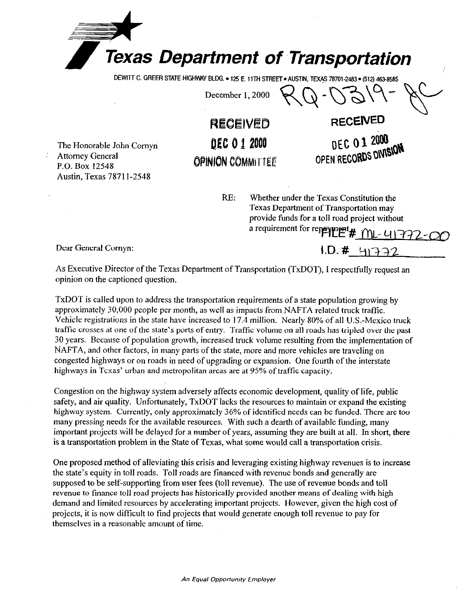

**DEWITT C. GREER STATE HIGHWAY BLDG. . 125 E. 11TH STREET . AUSTIN, TEXAS 78701-2483 . (512) 463-8585** 

December 1, 2000

The Honorable John Comyn Attorney General P.O. Box 12548 Austin, Texas 7871 I-2548

**RECEIVED RECEh'ED lge 0 I 9088 OPINION COMMITTEE** 

> RE: Whether under the Texas Constitution the Texas Department of Transportation may provide funds for a toll road project without a requirement for repeyment  $\# \bigcap_{\mathbb{L}^-} \{1\}$

DEC 01 2000 OPEN RECORDS DIVISION

Dear General Cornyn:  $1. D. \# 91-32$ 

As Executive Director of the Texas Department of Transportation (TxDOT), I respectfully request an opinion on the captioned question.

TxDOT is called upon to address the transportation requirements of a state population growing by approximately 30,000 people per month, as well as impacts from NAFTA related truck traffic. Vehicle registrations in the state have increased to 17.4 million. Nearly 80% of all U.S.-Mexico truck traffic crosses at one of the state's ports of entry. Traffic volume on all roads has tripled over the past 30 years. Because of population growth, increased truck volume resulting from the implementation of NAFTA, and other factors, in many parts of the state, more and more vehicles are traveling on congested highways or on roads in need of upgrading or expansion. One fourth of the interstate highways in Texas' urban and metropolitan areas are at 95% of traffic capacity.

Congestion on the highway system adversely affects economic development, quality of life, public safety, and air quality. Unfortunately, TxDOT lacks the resources to maintain or expand the existing highway system. Currently, only approximately 36% of identified needs can be funded. There are too many pressing needs for the available resources. With such a dearth of available funding, many important projects will be delayed for a number of years, assuming they are built at all. In short, there is a transportation problem in the State of Texas, what some would call a transportation crisis.

One proposed method of alleviating this crisis and leveraging existing highway revenues is to increase the state's equity in toll roads. Toll roads are financed with revenue bonds and generally are supposed to be self-supporting from user fees (toll revenue). The use of revenue bonds and toll revenue to finance toll road projects has historically provided another means of dealing with high demand and limited resources by accelerating important projects. However, given the high cost of projects, it is now difficult to find projects that would generate enough toll revenue to pay for themselves in a reasonable amount of time.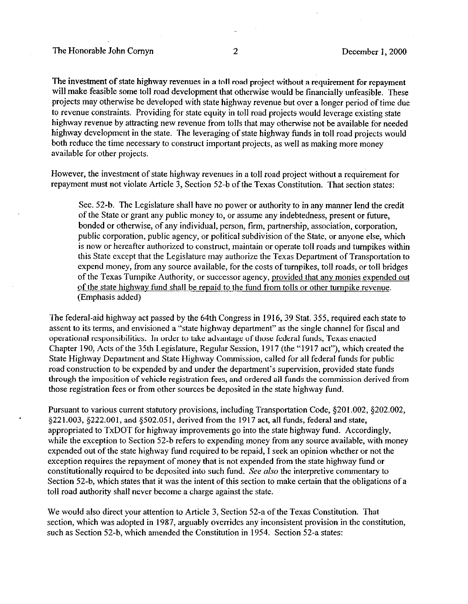The investment of state highway revenues in a toll road project without a requirement for repayment will make feasible some toll road development that otherwise would be financially unfeasible. These projects may otherwise be developed with state highway revenue but over a longer period of time due to revenue constraints. Providing for state equity in toll road projects would leverage existing state highway revenue by attracting new revenue from tolls that may otherwise not be available for needed highway development in the state. The leveraging of state highway funds in toll road projects would both reduce the time necessary to construct important projects, as well as making more money available for other projects.

However, the investment of state highway revenues in a toll road project without a requirement for repayment must not violate Article 3, Section 52-b of the Texas Constitution. That section states:

Sec. 52-b. The Legislature shall have no power or authority to in any manner lend the credit of the State or grant any public money to, or assume any indebtedness, present or future, bonded or otherwise, of any individual, person, firm, partnership, association, corporation, public corporation, public agency, or political subdivision of the State, or anyone else, which is now or hereafter authorized to construct, maintain or operate toll roads and turnpikes within this State except that the Legislature may authorize the Texas Department of Transportation to expend money, from any source available, for the costs of turnpikes, toll roads, or toll bridges of the Texas Turnpike Authority, or successor agency, provided that any monies expended out of the state highway fund shall be repaid to the fund from tolls or other turnpike revenue. (Emphasis added)

The federal-aid highway act passed by the 64th Congress in ]9]6,39 Stat. 355, required each state to assent to its terms, and envisioned a "state highway department" as the single channel for fiscal and operational responsibilities. In order to take advantage of those federal funds, Texas enacted Chapter 190, Acts of the 35th Legislature, Regular Session, 19 17 (the "1917 act"), which created the State Highway Department and State Highway Commission, called for all federal funds for public road construction to be expended by and under the department's supervision, provided state funds through the imposition of vehicle registration fees, and ordered all funds the commission derived from those registration fees or from other sources be deposited in the state highway fund.

Pursuant to various current statutory provisions, including Transportation Code, \$201.002, \$202.002, \$221.003, \$222.001, and \$502.051, derived from the 1917 act, all funds, federal and state, appropriated to TxDOT for highway improvements go into the state highway fund. Accordingly, while the exception to Section 52-b refers to expending money from any source available, with money expended out of the state highway fund required to be repaid, I seek an opinion whether or not the exception requires the repayment of money that is not expended from the state highway fund or constitutionally required to be deposited into such fund. See also the interpretive commentary to Section 52-b, which states that it was the intent of this section to make certain that the obligations of a toll road authority shall never become a charge against the state.

We would also direct your attention to Article 3, Section 52-a of the Texas Constitution. That section, which was adopted in 1987, arguably overrides any inconsistent provision in the constitution, such as Section 52-b, which amended the Constitution in 1954. Section 52-a states: